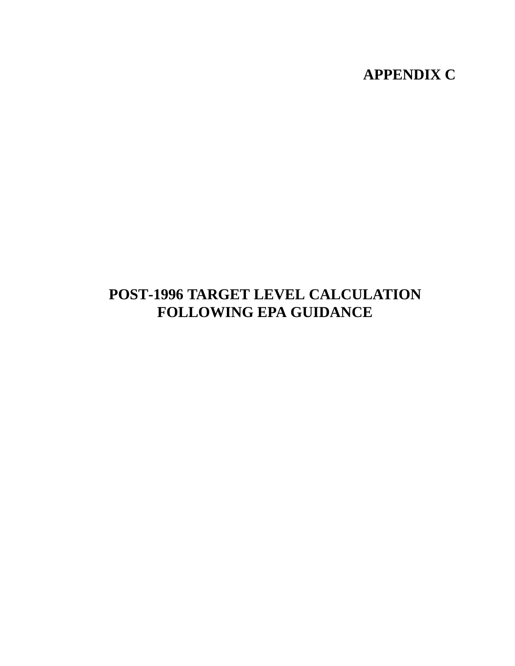## **APPENDIX C**

## **POST-1996 TARGET LEVEL CALCULATION FOLLOWING EPA GUIDANCE**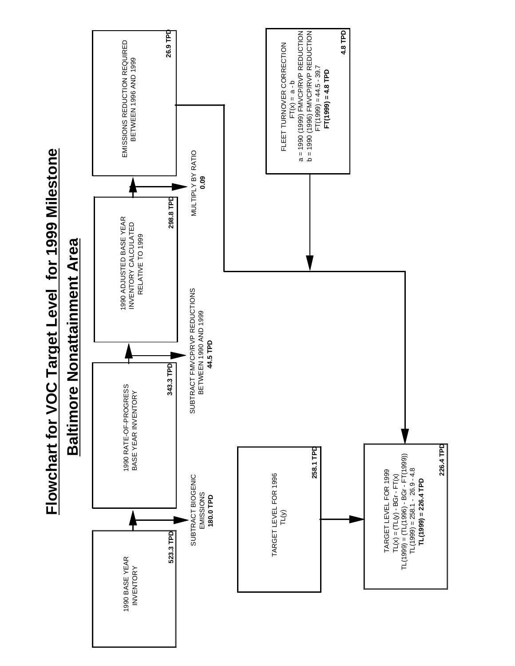



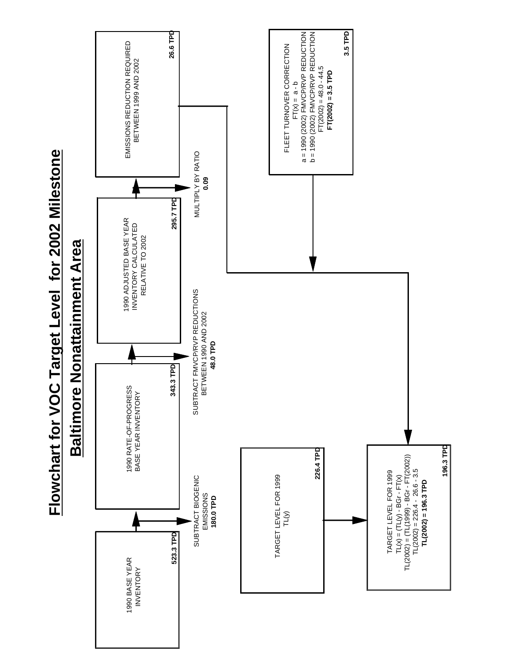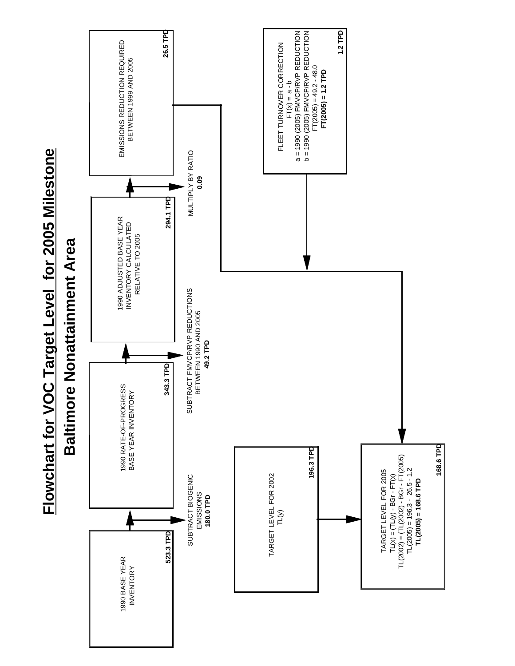



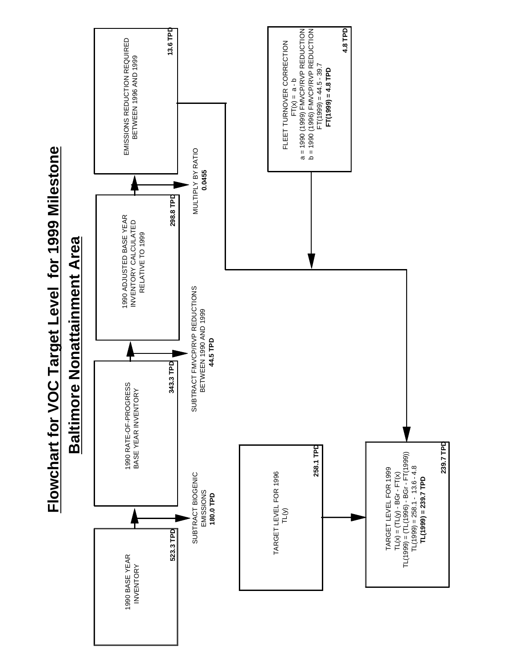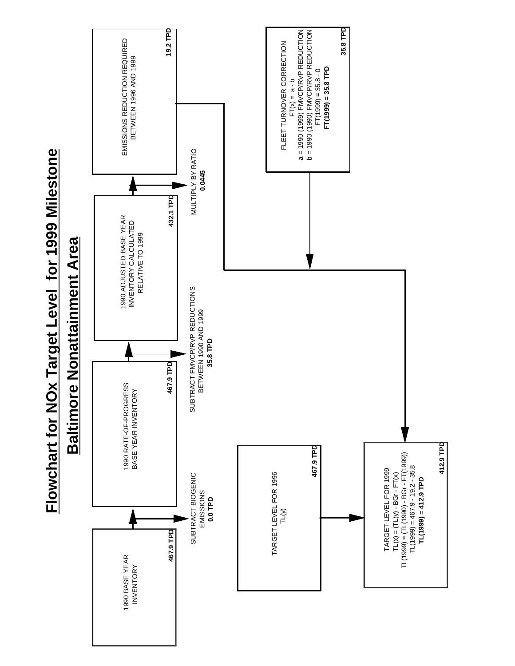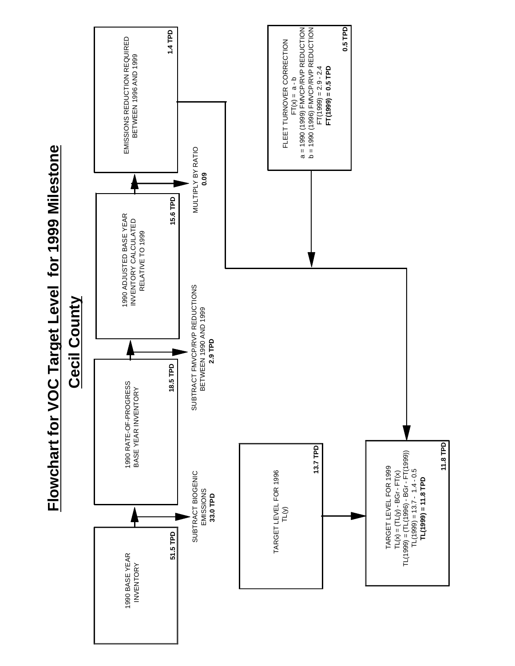

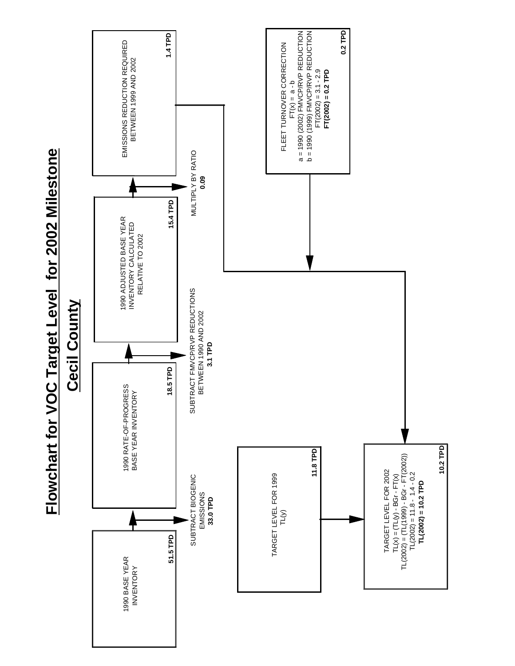